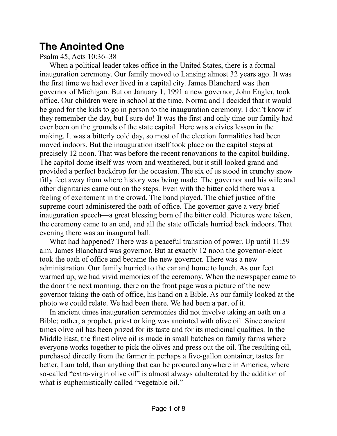# **The Anointed One**

Psalm 45, Acts 10:36–38

When a political leader takes office in the United States, there is a formal inauguration ceremony. Our family moved to Lansing almost 32 years ago. It was the first time we had ever lived in a capital city. James Blanchard was then governor of Michigan. But on January 1, 1991 a new governor, John Engler, took office. Our children were in school at the time. Norma and I decided that it would be good for the kids to go in person to the inauguration ceremony. I don't know if they remember the day, but I sure do! It was the first and only time our family had ever been on the grounds of the state capital. Here was a civics lesson in the making. It was a bitterly cold day, so most of the election formalities had been moved indoors. But the inauguration itself took place on the capitol steps at precisely 12 noon. That was before the recent renovations to the capitol building. The capitol dome itself was worn and weathered, but it still looked grand and provided a perfect backdrop for the occasion. The six of us stood in crunchy snow fifty feet away from where history was being made. The governor and his wife and other dignitaries came out on the steps. Even with the bitter cold there was a feeling of excitement in the crowd. The band played. The chief justice of the supreme court administered the oath of office. The governor gave a very brief inauguration speech—a great blessing born of the bitter cold. Pictures were taken, the ceremony came to an end, and all the state officials hurried back indoors. That evening there was an inaugural ball.

What had happened? There was a peaceful transition of power. Up until 11:59 a.m. James Blanchard was governor. But at exactly 12 noon the governor-elect took the oath of office and became the new governor. There was a new administration. Our family hurried to the car and home to lunch. As our feet warmed up, we had vivid memories of the ceremony. When the newspaper came to the door the next morning, there on the front page was a picture of the new governor taking the oath of office, his hand on a Bible. As our family looked at the photo we could relate. We had been there. We had been a part of it.

In ancient times inauguration ceremonies did not involve taking an oath on a Bible; rather, a prophet, priest or king was anointed with olive oil. Since ancient times olive oil has been prized for its taste and for its medicinal qualities. In the Middle East, the finest olive oil is made in small batches on family farms where everyone works together to pick the olives and press out the oil. The resulting oil, purchased directly from the farmer in perhaps a five-gallon container, tastes far better, I am told, than anything that can be procured anywhere in America, where so-called "extra-virgin olive oil" is almost always adulterated by the addition of what is euphemistically called "vegetable oil."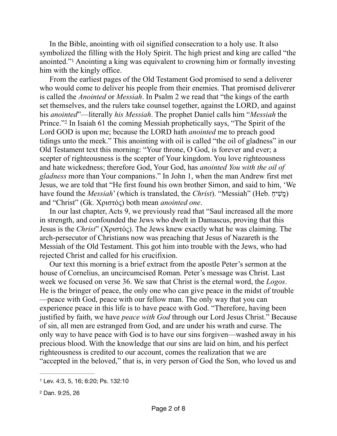<span id="page-1-2"></span>In the Bible, anointing with oil signified consecration to a holy use. It also symbolized the filling with the Holy Spirit. The high priest and king are called "the anointed."Anointing a king was equivalent to crowning him or formally investing him with the kingly office.

<span id="page-1-3"></span>From the earliest pages of the Old Testament God promised to send a deliverer who would come to deliver his people from their enemies. That promised deliverer is called the *Anointed* or *Messiah*. In Psalm 2 we read that "the kings of the earth set themselves, and the rulers take counsel together, against the LORD, and against his *anointed*"—literally *his Messiah*. The prophet Daniel calls him "*Messiah* the Prince.["](#page-1-1) In Isaiah 61 the coming Messiah prophetically says, "The Spirit of the Lord GOD is upon me; because the LORD hath *anointed* me to preach good tidings unto the meek." This anointing with oil is called "the oil of gladness" in our Old Testament text this morning: "Your throne, O God, is forever and ever; a scepter of righteousness is the scepter of Your kingdom. You love righteousness and hate wickedness; therefore God, Your God, has *anointed You with the oil of gladness* more than Your companions." In John 1, when the man Andrew first met Jesus, we are told that "He first found his own brother Simon, and said to him, 'We have found the *Messiah*' (which is translated, the *Christ*). "Messiah" (Heb. כָּוֹשִׁיהַ) and "Christ" (Gk. Χριστός) both mean *anointed one*.

In our last chapter, Acts 9, we previously read that "Saul increased all the more in strength, and confounded the Jews who dwelt in Damascus, proving that this Jesus is the *Christ*" (Χριστός). The Jews knew exactly what he was claiming. The arch-persecutor of Christians now was preaching that Jesus of Nazareth is the Messiah of the Old Testament. This got him into trouble with the Jews, who had rejected Christ and called for his crucifixion.

Our text this morning is a brief extract from the apostle Peter's sermon at the house of Cornelius, an uncircumcised Roman. Peter's message was Christ. Last week we focused on verse 36. We saw that Christ is the eternal word, the *Logos*. He is the bringer of peace, the only one who can give peace in the midst of trouble —peace with God, peace with our fellow man. The only way that you can experience peace in this life is to have peace with God. "Therefore, having been justified by faith, we have *peace with God* through our Lord Jesus Christ." Because of sin, all men are estranged from God, and are under his wrath and curse. The only way to have peace with God is to have our sins forgiven—washed away in his precious blood. With the knowledge that our sins are laid on him, and his perfect righteousness is credited to our account, comes the realization that we are "accepted in the beloved," that is, in very person of God the Son, who loved us and

<span id="page-1-0"></span>[<sup>1</sup>](#page-1-2) Lev. 4:3, 5, 16; 6:20; Ps. 132:10

<span id="page-1-1"></span>[<sup>2</sup>](#page-1-3) Dan. 9:25, 26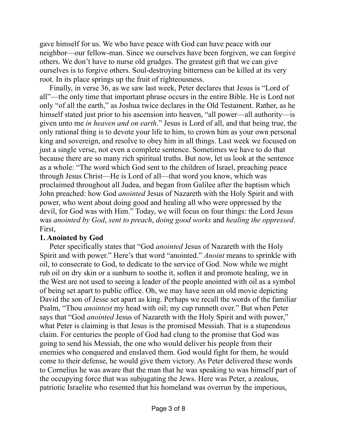gave himself for us. We who have peace with God can have peace with our neighbor—our fellow-man. Since we ourselves have been forgiven, we can forgive others. We don't have to nurse old grudges. The greatest gift that we can give ourselves is to forgive others. Soul-destroying bitterness can be killed at its very root. In its place springs up the fruit of righteousness.

Finally, in verse 36, as we saw last week, Peter declares that Jesus is "Lord of all"—the only time that important phrase occurs in the entire Bible. He is Lord not only "of all the earth," as Joshua twice declares in the Old Testament. Rather, as he himself stated just prior to his ascension into heaven, "all power—all authority—is given unto me *in heaven and on earth*." Jesus is Lord of all, and that being true, the only rational thing is to devote your life to him, to crown him as your own personal king and sovereign, and resolve to obey him in all things. Last week we focused on just a single verse, not even a complete sentence. Sometimes we have to do that because there are so many rich spiritual truths. But now, let us look at the sentence as a whole: "The word which God sent to the children of Israel, preaching peace through Jesus Christ—He is Lord of all—that word you know, which was proclaimed throughout all Judea, and began from Galilee after the baptism which John preached: how God *anointed* Jesus of Nazareth with the Holy Spirit and with power, who went about doing good and healing all who were oppressed by the devil, for God was with Him." Today, we will focus on four things: the Lord Jesus was *anointed by God*, *sent to preach*, *doing good works* and *healing the oppressed*. First,

### **1. Anointed by God**

Peter specifically states that "God *anointed* Jesus of Nazareth with the Holy Spirit and with power." Here's that word "anointed." *Anoint* means to sprinkle with oil, to consecrate to God, to dedicate to the service of God. Now while we might rub oil on dry skin or a sunburn to soothe it, soften it and promote healing, we in the West are not used to seeing a leader of the people anointed with oil as a symbol of being set apart to public office. Oh, we may have seen an old movie depicting David the son of Jesse set apart as king. Perhaps we recall the words of the familiar Psalm, "Thou *anointest* my head with oil; my cup runneth over." But when Peter says that "God *anointed* Jesus of Nazareth with the Holy Spirit and with power," what Peter is claiming is that Jesus is the promised Messiah. That is a stupendous claim. For centuries the people of God had clung to the promise that God was going to send his Messiah, the one who would deliver his people from their enemies who conquered and enslaved them. God would fight for them, he would come to their defense, he would give them victory. As Peter delivered these words to Cornelius he was aware that the man that he was speaking to was himself part of the occupying force that was subjugating the Jews. Here was Peter, a zealous, patriotic Israelite who resented that his homeland was overrun by the imperious,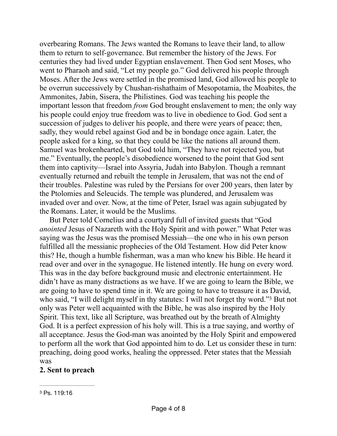overbearing Romans. The Jews wanted the Romans to leave their land, to allow them to return to self-governance. But remember the history of the Jews. For centuries they had lived under Egyptian enslavement. Then God sent Moses, who went to Pharaoh and said, "Let my people go." God delivered his people through Moses. After the Jews were settled in the promised land, God allowed his people to be overrun successively by Chushan-rishathaim of Mesopotamia, the Moabites, the Ammonites, Jabin, Sisera, the Philistines. God was teaching his people the important lesson that freedom *from* God brought enslavement to men; the only way his people could enjoy true freedom was to live in obedience to God. God sent a succession of judges to deliver his people, and there were years of peace; then, sadly, they would rebel against God and be in bondage once again. Later, the people asked for a king, so that they could be like the nations all around them. Samuel was brokenhearted, but God told him, "They have not rejected you, but me." Eventually, the people's disobedience worsened to the point that God sent them into captivity—Israel into Assyria, Judah into Babylon. Though a remnant eventually returned and rebuilt the temple in Jerusalem, that was not the end of their troubles. Palestine was ruled by the Persians for over 200 years, then later by the Ptolomies and Seleucids. The temple was plundered, and Jerusalem was invaded over and over. Now, at the time of Peter, Israel was again subjugated by the Romans. Later, it would be the Muslims.

But Peter told Cornelius and a courtyard full of invited guests that "God *anointed* Jesus of Nazareth with the Holy Spirit and with power." What Peter was saying was the Jesus was the promised Messiah—the one who in his own person fulfilled all the messianic prophecies of the Old Testament. How did Peter know this? He, though a humble fisherman, was a man who knew his Bible. He heard it read over and over in the synagogue. He listened intently. He hung on every word. This was in the day before background music and electronic entertainment. He didn't have as many distractions as we have. If we are going to learn the Bible, we are going to have to spend time in it. We are going to have to treasure it as David, who said, ["](#page-3-0)I will delight myself in thy statutes: I will not forget thy word."<sup>[3](#page-3-0)</sup> But not only was Peter well acquainted with the Bible, he was also inspired by the Holy Spirit. This text, like all Scripture, was breathed out by the breath of Almighty God. It is a perfect expression of his holy will. This is a true saying, and worthy of all acceptance. Jesus the God-man was anointed by the Holy Spirit and empowered to perform all the work that God appointed him to do. Let us consider these in turn: preaching, doing good works, healing the oppressed. Peter states that the Messiah was

## <span id="page-3-1"></span>**2. Sent to preach**

<span id="page-3-0"></span>[<sup>3</sup>](#page-3-1) Ps. 119:16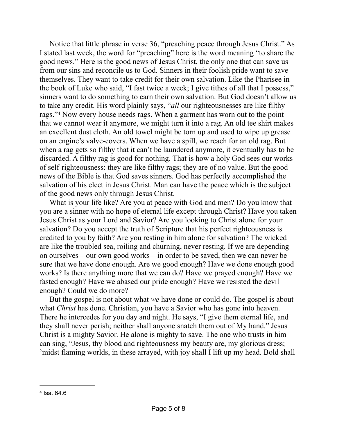<span id="page-4-1"></span>Notice that little phrase in verse 36, "preaching peace through Jesus Christ." As I stated last week, the word for "preaching" here is the word meaning "to share the good news." Here is the good news of Jesus Christ, the only one that can save us from our sins and reconcile us to God. Sinners in their foolish pride want to save themselves. They want to take credit for their own salvation. Like the Pharisee in the book of Luke who said, "I fast twice a week; I give tithes of all that I possess," sinners want to do something to earn their own salvation. But God doesn't allow us to take any credit. His word plainly says, "*all* our righteousnesses are like filthy rags."<sup>[4](#page-4-0)</sup> Now every house needs rags. When a garment has worn out to the point that we cannot wear it anymore, we might turn it into a rag. An old tee shirt makes an excellent dust cloth. An old towel might be torn up and used to wipe up grease on an engine's valve-covers. When we have a spill, we reach for an old rag. But when a rag gets so filthy that it can't be laundered anymore, it eventually has to be discarded. A filthy rag is good for nothing. That is how a holy God sees our works of self-righteousness: they are like filthy rags; they are of no value. But the good news of the Bible is that God saves sinners. God has perfectly accomplished the salvation of his elect in Jesus Christ. Man can have the peace which is the subject of the good news only through Jesus Christ.

What is your life like? Are you at peace with God and men? Do you know that you are a sinner with no hope of eternal life except through Christ? Have you taken Jesus Christ as your Lord and Savior? Are you looking to Christ alone for your salvation? Do you accept the truth of Scripture that his perfect righteousness is credited to you by faith? Are you resting in him alone for salvation? The wicked are like the troubled sea, roiling and churning, never resting. If we are depending on ourselves—our own good works—in order to be saved, then we can never be sure that we have done enough. Are we good enough? Have we done enough good works? Is there anything more that we can do? Have we prayed enough? Have we fasted enough? Have we abased our pride enough? Have we resisted the devil enough? Could we do more?

But the gospel is not about what *we* have done or could do. The gospel is about what *Christ* has done. Christian, you have a Savior who has gone into heaven. There he intercedes for you day and night. He says, "I give them eternal life, and they shall never perish; neither shall anyone snatch them out of My hand." Jesus Christ is a mighty Savior. He alone is mighty to save. The one who trusts in him can sing, "Jesus, thy blood and righteousness my beauty are, my glorious dress; 'midst flaming worlds, in these arrayed, with joy shall I lift up my head. Bold shall

<span id="page-4-0"></span>[<sup>4</sup>](#page-4-1) Isa. 64.6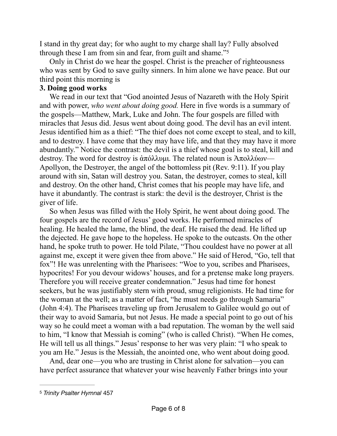<span id="page-5-1"></span>I stand in thy great day; for who aught to my charge shall lay? Fully absolved through these I am from sin and fear, from guilt and shame."[5](#page-5-0)

Only in Christ do we hear the gospel. Christ is the preacher of righteousness who was sent by God to save guilty sinners. In him alone we have peace. But our third point this morning is

## **3. Doing good works**

We read in our text that "God anointed Jesus of Nazareth with the Holy Spirit and with power, *who went about doing good.* Here in five words is a summary of the gospels—Matthew, Mark, Luke and John. The four gospels are filled with miracles that Jesus did. Jesus went about doing good. The devil has an evil intent. Jesus identified him as a thief: "The thief does not come except to steal, and to kill, and to destroy. I have come that they may have life, and that they may have it more abundantly." Notice the contrast: the devil is a thief whose goal is to steal, kill and destroy. The word for destroy is  $\alpha \pi \delta \lambda \lambda \nu \mu$ . The related noun is Aπολλύων— Apollyon, the Destroyer, the angel of the bottomless pit (Rev. 9:11). If you play around with sin, Satan will destroy you. Satan, the destroyer, comes to steal, kill and destroy. On the other hand, Christ comes that his people may have life, and have it abundantly. The contrast is stark: the devil is the destroyer, Christ is the giver of life.

So when Jesus was filled with the Holy Spirit, he went about doing good. The four gospels are the record of Jesus' good works. He performed miracles of healing. He healed the lame, the blind, the deaf. He raised the dead. He lifted up the dejected. He gave hope to the hopeless. He spoke to the outcasts. On the other hand, he spoke truth to power. He told Pilate, "Thou couldest have no power at all against me, except it were given thee from above." He said of Herod, "Go, tell that fox"! He was unrelenting with the Pharisees: "Woe to you, scribes and Pharisees, hypocrites! For you devour widows' houses, and for a pretense make long prayers. Therefore you will receive greater condemnation." Jesus had time for honest seekers, but he was justifiably stern with proud, smug religionists. He had time for the woman at the well; as a matter of fact, "he must needs go through Samaria" (John 4:4). The Pharisees traveling up from Jerusalem to Galilee would go out of their way to avoid Samaria, but not Jesus. He made a special point to go out of his way so he could meet a woman with a bad reputation. The woman by the well said to him, "I know that Messiah is coming" (who is called Christ). "When He comes, He will tell us all things." Jesus' response to her was very plain: "I who speak to you am He." Jesus is the Messiah, the anointed one, who went about doing good.

And, dear one—you who are trusting in Christ alone for salvation—you can have perfect assurance that whatever your wise heavenly Father brings into your

<span id="page-5-0"></span>[<sup>5</sup>](#page-5-1) *Trinity Psalter Hymnal* 457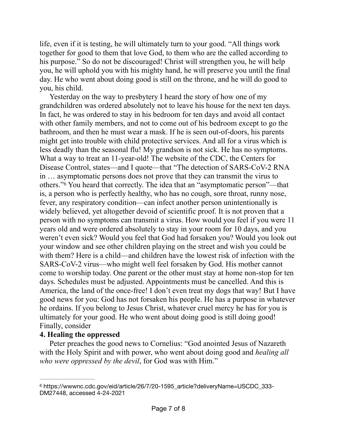life, even if it is testing, he will ultimately turn to your good. "All things work together for good to them that love God, to them who are the called according to his purpose." So do not be discouraged! Christ will strengthen you, he will help you, he will uphold you with his mighty hand, he will preserve you until the final day. He who went about doing good is still on the throne, and he will do good to you, his child.

<span id="page-6-1"></span>Yesterday on the way to presbytery I heard the story of how one of my grandchildren was ordered absolutely not to leave his house for the next ten days. In fact, he was ordered to stay in his bedroom for ten days and avoid all contact with other family members, and not to come out of his bedroom except to go the bathroom, and then he must wear a mask. If he is seen out-of-doors, his parents might get into trouble with child protective services. And all for a virus which is less deadly than the seasonal flu! My grandson is not sick. He has no symptoms. What a way to treat an 11-year-old! The website of the CDC, the Centers for Disease Control, states—and I quote—that "The detection of SARS-CoV-2 RNA in … asymptomatic persons does not prove that they can transmit the virus to others."You heard that correctly. The idea that an "asymptomatic person"—that is, a person who is perfectly healthy, who has no cough, sore throat, runny nose, fever, any respiratory condition—can infect another person unintentionally is widely believed, yet altogether devoid of scientific proof. It is not proven that a person with no symptoms can transmit a virus. How would you feel if you were 11 years old and were ordered absolutely to stay in your room for 10 days, and you weren't even sick? Would you feel that God had forsaken you? Would you look out your window and see other children playing on the street and wish you could be with them? Here is a child—and children have the lowest risk of infection with the SARS-CoV-2 virus—who might well feel forsaken by God. His mother cannot come to worship today. One parent or the other must stay at home non-stop for ten days. Schedules must be adjusted. Appointments must be cancelled. And this is America, the land of the once-free! I don't even treat my dogs that way! But I have good news for you: God has not forsaken his people. He has a purpose in whatever he ordains. If you belong to Jesus Christ, whatever cruel mercy he has for you is ultimately for your good. He who went about doing good is still doing good! Finally, consider

### **4. Healing the oppressed**

Peter preaches the good news to Cornelius: "God anointed Jesus of Nazareth with the Holy Spirit and with power, who went about doing good and *healing all who were oppressed by the devil*, for God was with Him."

<span id="page-6-0"></span><sup>&</sup>lt;sup>[6](#page-6-1)</sup> https://wwwnc.cdc.gov/eid/article/26/7/20-1595\_article?deliveryName=USCDC\_333-DM27448, accessed 4-24-2021